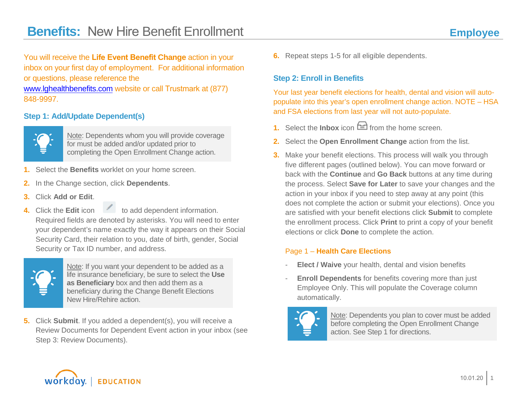You will receive the **Life Event Benefit Change** action in your inbox on your first day of employment. For additional information or questions, please reference the [www.lghealthbenefits.com](http://www.lghealthbenefits.com/) website or call Trustmark at (877) 848-9997.

## **Step 1: Add/Update Dependent(s)**



Note: Dependents whom you will provide coverage for must be added and/or updated prior to completing the Open Enrollment Change action.

- **1.** Select the **Benefits** worklet on your home screen.
- **2.** In the Change section, click **Dependents**.
- **3.** Click **Add or Edit**.
- **4.** Click the **Edit** icon to add dependent information. Required fields are denoted by asterisks. You will need to enter your dependent's name exactly the way it appears on their Social Security Card, their relation to you, date of birth, gender, Social Security or Tax ID number, and address.



Note: If you want your dependent to be added as a life insurance beneficiary, be sure to select the **Use as Beneficiary** box and then add them as a beneficiary during the Change Benefit Elections New Hire/Rehire action.

**5.** Click **Submit**. If you added a dependent(s), you will receive a Review Documents for Dependent Event action in your inbox (see Step 3: Review Documents).

**6.** Repeat steps 1-5 for all eligible dependents.

#### **Step 2: Enroll in Benefits**

Your last year benefit elections for health, dental and vision will autopopulate into this year's open enrollment change action. NOTE – HSA and FSA elections from last year will not auto-populate.

- **1.** Select the **Inbox** icon  $\Xi$  from the home screen.
- **2.** Select the **Open Enrollment Change** action from the list.
- **3.** Make your benefit elections. This process will walk you through five different pages (outlined below). You can move forward or back with the **Continue** and **Go Back** buttons at any time during the process. Select **Save for Later** to save your changes and the action in your inbox if you need to step away at any point (this does not complete the action or submit your elections). Once you are satisfied with your benefit elections click **Submit** to complete the enrollment process. Click **Print** to print a copy of your benefit elections or click **Done** to complete the action.

#### Page 1 – **Health Care Elections**

- **Elect / Waive** your health, dental and vision benefits
- **Enroll Dependents** for benefits covering more than just Employee Only. This will populate the Coverage column automatically.



Note: Dependents you plan to cover must be added before completing the Open Enrollment Change action. See Step 1 for directions.

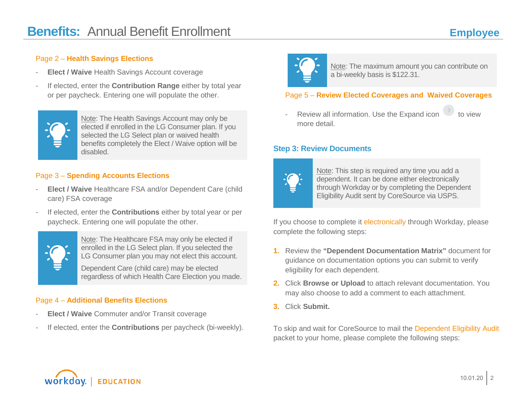#### Page 2 – **Health Savings Elections**

- **Elect / Waive** Health Savings Account coverage
- If elected, enter the **Contribution Range** either by total year or per paycheck. Entering one will populate the other.



Note: The Health Savings Account may only be elected if enrolled in the LG Consumer plan. If you selected the LG Select plan or waived health benefits completely the Elect / Waive option will be disabled.

#### Page 3 – **Spending Accounts Elections**

- **Elect / Waive** Healthcare FSA and/or Dependent Care (child care) FSA coverage
- If elected, enter the **Contributions** either by total year or per paycheck. Entering one will populate the other.



Note: The Healthcare FSA may only be elected if enrolled in the LG Select plan. If you selected the LG Consumer plan you may not elect this account.

Dependent Care (child care) may be elected regardless of which Health Care Election you made.

## Page 4 – **Additional Benefits Elections**

- **Elect / Waive** Commuter and/or Transit coverage
- If elected, enter the **Contributions** per paycheck (bi-weekly).



Note: The maximum amount you can contribute on a bi-weekly basis is \$122.31.

### Page 5 – **Review Elected Coverages and Waived Coverages**

Review all information. Use the Expand icon  $\sim$  to view more detail.

#### **Step 3: Review Documents**



Note: This step is required any time you add a dependent. It can be done either electronically through Workday or by completing the Dependent Eligibility Audit sent by CoreSource via USPS.

If you choose to complete it electronically through Workday, please complete the following steps:

- **1.** Review the **"Dependent Documentation Matrix"** document for guidance on documentation options you can submit to verify eligibility for each dependent.
- **2.** Click **Browse or Upload** to attach relevant documentation. You may also choose to add a comment to each attachment.
- **3.** Click **Submit.**

To skip and wait for CoreSource to mail the Dependent Eligibility Audit packet to your home, please complete the following steps: